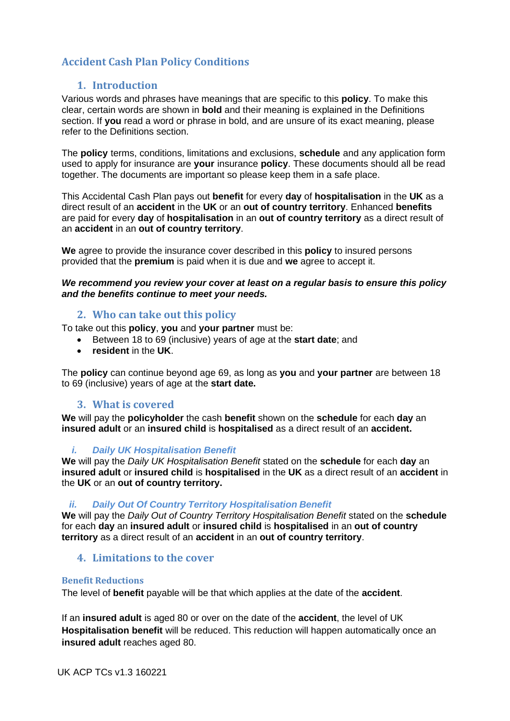# **Accident Cash Plan Policy Conditions**

## **1. Introduction**

Various words and phrases have meanings that are specific to this **policy**. To make this clear, certain words are shown in **bold** and their meaning is explained in the Definitions section. If **you** read a word or phrase in bold, and are unsure of its exact meaning, please refer to the Definitions section.

The **policy** terms, conditions, limitations and exclusions, **schedule** and any application form used to apply for insurance are **your** insurance **policy**. These documents should all be read together. The documents are important so please keep them in a safe place.

This Accidental Cash Plan pays out **benefit** for every **day** of **hospitalisation** in the **UK** as a direct result of an **accident** in the **UK** or an **out of country territory**. Enhanced **benefits**  are paid for every **day** of **hospitalisation** in an **out of country territory** as a direct result of an **accident** in an **out of country territory**.

**We** agree to provide the insurance cover described in this **policy** to insured persons provided that the **premium** is paid when it is due and **we** agree to accept it.

### *We recommend you review your cover at least on a regular basis to ensure this policy and the benefits continue to meet your needs.*

### **2. Who can take out this policy**

To take out this **policy**, **you** and **your partner** must be:

- Between 18 to 69 (inclusive) years of age at the **start date**; and
- **resident** in the **UK**.

The **policy** can continue beyond age 69, as long as **you** and **your partner** are between 18 to 69 (inclusive) years of age at the **start date.**

### **3. What is covered**

**We** will pay the **policyholder** the cash **benefit** shown on the **schedule** for each **day** an **insured adult** or an **insured child** is **hospitalised** as a direct result of an **accident.**

### *i. Daily UK Hospitalisation Benefit*

**We** will pay the *Daily UK Hospitalisation Benefit* stated on the **schedule** for each **day** an **insured adult** or **insured child** is **hospitalised** in the **UK** as a direct result of an **accident** in the **UK** or an **out of country territory.**

### *ii. Daily Out Of Country Territory Hospitalisation Benefit*

**We** will pay the *Daily Out of Country Territory Hospitalisation Benefit* stated on the **schedule**  for each **day** an **insured adult** or **insured child** is **hospitalised** in an **out of country territory** as a direct result of an **accident** in an **out of country territory**.

### **4. Limitations to the cover**

### **Benefit Reductions**

The level of **benefit** payable will be that which applies at the date of the **accident**.

If an **insured adult** is aged 80 or over on the date of the **accident**, the level of UK **Hospitalisation benefit** will be reduced. This reduction will happen automatically once an **insured adult** reaches aged 80.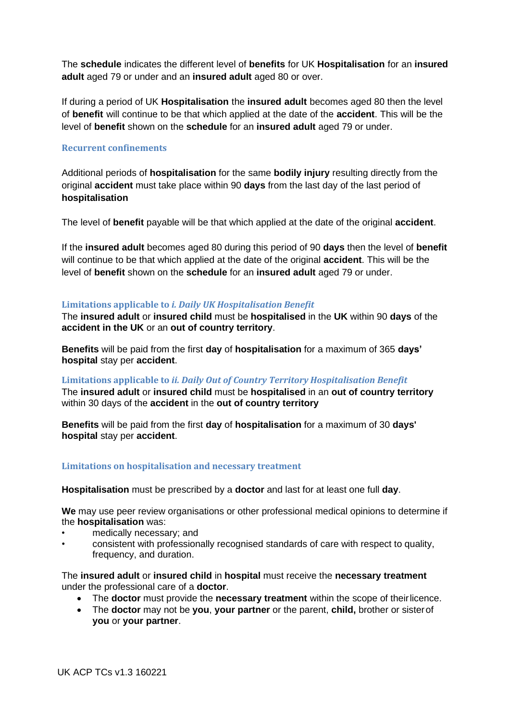The **schedule** indicates the different level of **benefits** for UK **Hospitalisation** for an **insured adult** aged 79 or under and an **insured adult** aged 80 or over.

If during a period of UK **Hospitalisation** the **insured adult** becomes aged 80 then the level of **benefit** will continue to be that which applied at the date of the **accident**. This will be the level of **benefit** shown on the **schedule** for an **insured adult** aged 79 or under.

### **Recurrent confinements**

Additional periods of **hospitalisation** for the same **bodily injury** resulting directly from the original **accident** must take place within 90 **days** from the last day of the last period of **hospitalisation**

The level of **benefit** payable will be that which applied at the date of the original **accident**.

If the **insured adult** becomes aged 80 during this period of 90 **days** then the level of **benefit**  will continue to be that which applied at the date of the original **accident**. This will be the level of **benefit** shown on the **schedule** for an **insured adult** aged 79 or under.

#### **Limitations applicable to** *i. Daily UK Hospitalisation Benefit*

The **insured adult** or **insured child** must be **hospitalised** in the **UK** within 90 **days** of the **accident in the UK** or an **out of country territory**.

**Benefits** will be paid from the first **day** of **hospitalisation** for a maximum of 365 **days' hospital** stay per **accident**.

#### **Limitations applicable to** *ii. Daily Out of Country Territory Hospitalisation Benefit*

The **insured adult** or **insured child** must be **hospitalised** in an **out of country territory** within 30 days of the **accident** in the **out of country territory**

**Benefits** will be paid from the first **day** of **hospitalisation** for a maximum of 30 **days' hospital** stay per **accident**.

### **Limitations on hospitalisation and necessary treatment**

**Hospitalisation** must be prescribed by a **doctor** and last for at least one full **day**.

**We** may use peer review organisations or other professional medical opinions to determine if the **hospitalisation** was:

- medically necessary; and
- consistent with professionally recognised standards of care with respect to quality, frequency, and duration.

The **insured adult** or **insured child** in **hospital** must receive the **necessary treatment** under the professional care of a **doctor**.

- The **doctor** must provide the **necessary treatment** within the scope of theirlicence.
- The **doctor** may not be **you**, **your partner** or the parent, **child,** brother or sisterof **you** or **your partner**.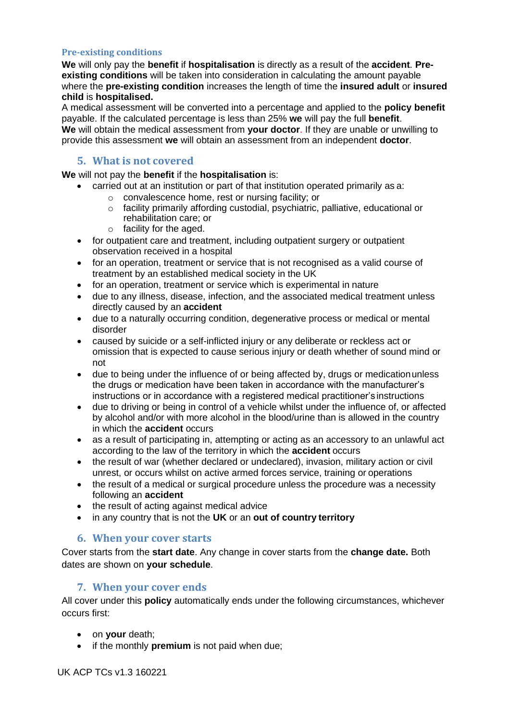### **Pre-existing conditions**

**We** will only pay the **benefit** if **hospitalisation** is directly as a result of the **accident**. **Preexisting conditions** will be taken into consideration in calculating the amount payable where the **pre-existing condition** increases the length of time the **insured adult** or **insured child** is **hospitalised.**

A medical assessment will be converted into a percentage and applied to the **policy benefit** payable. If the calculated percentage is less than 25% **we** will pay the full **benefit**. **We** will obtain the medical assessment from **your doctor**. If they are unable or unwilling to provide this assessment **we** will obtain an assessment from an independent **doctor**.

### **5. What is not covered**

**We** will not pay the **benefit** if the **hospitalisation** is:

- carried out at an institution or part of that institution operated primarily as a:
	- o convalescence home, rest or nursing facility; or
	- o facility primarily affording custodial, psychiatric, palliative, educational or rehabilitation care; or
	- o facility for the aged.
- for outpatient care and treatment, including outpatient surgery or outpatient observation received in a hospital
- for an operation, treatment or service that is not recognised as a valid course of treatment by an established medical society in the UK
- for an operation, treatment or service which is experimental in nature
- due to any illness, disease, infection, and the associated medical treatment unless directly caused by an **accident**
- due to a naturally occurring condition, degenerative process or medical or mental disorder
- caused by suicide or a self-inflicted injury or any deliberate or reckless act or omission that is expected to cause serious injury or death whether of sound mind or not
- due to being under the influence of or being affected by, drugs or medication unless the drugs or medication have been taken in accordance with the manufacturer's instructions or in accordance with a registered medical practitioner's instructions
- due to driving or being in control of a vehicle whilst under the influence of, or affected by alcohol and/or with more alcohol in the blood/urine than is allowed in the country in which the **accident** occurs
- as a result of participating in, attempting or acting as an accessory to an unlawful act according to the law of the territory in which the **accident** occurs
- the result of war (whether declared or undeclared), invasion, military action or civil unrest, or occurs whilst on active armed forces service, training or operations
- the result of a medical or surgical procedure unless the procedure was a necessity following an **accident**
- the result of acting against medical advice
- in any country that is not the **UK** or an **out of country territory**

### **6. When your cover starts**

Cover starts from the **start date**. Any change in cover starts from the **change date.** Both dates are shown on **your schedule**.

### **7. When your cover ends**

All cover under this **policy** automatically ends under the following circumstances, whichever occurs first:

- on **your** death;
- if the monthly **premium** is not paid when due;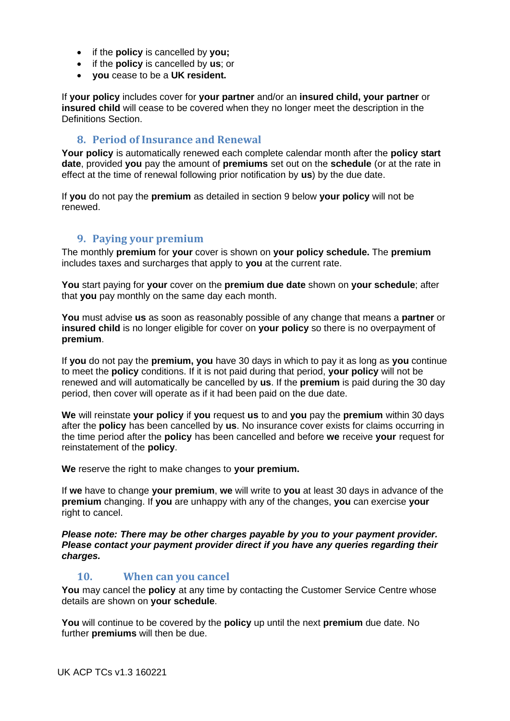- if the **policy** is cancelled by **you;**
- if the **policy** is cancelled by **us**; or
- **you** cease to be a **UK resident.**

If **your policy** includes cover for **your partner** and/or an **insured child, your partner** or **insured child** will cease to be covered when they no longer meet the description in the Definitions Section.

### **8. Period of Insurance and Renewal**

**Your policy** is automatically renewed each complete calendar month after the **policy start date**, provided **you** pay the amount of **premiums** set out on the **schedule** (or at the rate in effect at the time of renewal following prior notification by **us**) by the due date.

If **you** do not pay the **premium** as detailed in section 9 below **your policy** will not be renewed.

### **9. Paying your premium**

The monthly **premium** for **your** cover is shown on **your policy schedule.** The **premium** includes taxes and surcharges that apply to **you** at the current rate.

**You** start paying for **your** cover on the **premium due date** shown on **your schedule**; after that **you** pay monthly on the same day each month.

**You** must advise **us** as soon as reasonably possible of any change that means a **partner** or **insured child** is no longer eligible for cover on **your policy** so there is no overpayment of **premium**.

If **you** do not pay the **premium, you** have 30 days in which to pay it as long as **you** continue to meet the **policy** conditions. If it is not paid during that period, **your policy** will not be renewed and will automatically be cancelled by **us**. If the **premium** is paid during the 30 day period, then cover will operate as if it had been paid on the due date.

**We** will reinstate **your policy** if **you** request **us** to and **you** pay the **premium** within 30 days after the **policy** has been cancelled by **us**. No insurance cover exists for claims occurring in the time period after the **policy** has been cancelled and before **we** receive **your** request for reinstatement of the **policy**.

**We** reserve the right to make changes to **your premium.**

If **we** have to change **your premium**, **we** will write to **you** at least 30 days in advance of the **premium** changing. If **you** are unhappy with any of the changes, **you** can exercise **your**  right to cancel.

*Please note: There may be other charges payable by you to your payment provider. Please contact your payment provider direct if you have any queries regarding their charges.*

## **10. When can you cancel**

**You** may cancel the **policy** at any time by contacting the Customer Service Centre whose details are shown on **your schedule**.

**You** will continue to be covered by the **policy** up until the next **premium** due date. No further **premiums** will then be due.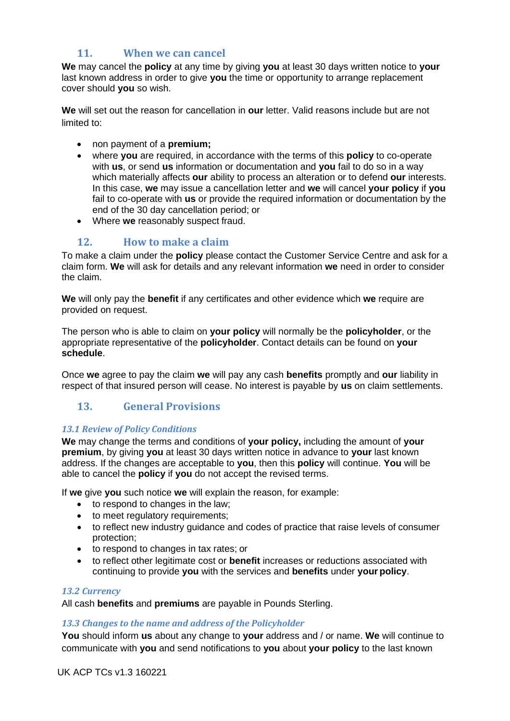# **11. When we can cancel**

**We** may cancel the **policy** at any time by giving **you** at least 30 days written notice to **your**  last known address in order to give **you** the time or opportunity to arrange replacement cover should **you** so wish.

**We** will set out the reason for cancellation in **our** letter. Valid reasons include but are not limited to:

- non payment of a **premium;**
- where **you** are required, in accordance with the terms of this **policy** to co-operate with **us**, or send **us** information or documentation and **you** fail to do so in a way which materially affects **our** ability to process an alteration or to defend **our** interests. In this case, **we** may issue a cancellation letter and **we** will cancel **your policy** if **you**  fail to co-operate with **us** or provide the required information or documentation by the end of the 30 day cancellation period; or
- Where **we** reasonably suspect fraud.

# **12. How to make a claim**

To make a claim under the **policy** please contact the Customer Service Centre and ask for a claim form. **We** will ask for details and any relevant information **we** need in order to consider the claim.

**We** will only pay the **benefit** if any certificates and other evidence which **we** require are provided on request.

The person who is able to claim on **your policy** will normally be the **policyholder**, or the appropriate representative of the **policyholder**. Contact details can be found on **your schedule**.

Once **we** agree to pay the claim **we** will pay any cash **benefits** promptly and **our** liability in respect of that insured person will cease. No interest is payable by **us** on claim settlements.

# **13. General Provisions**

### *13.1 Review of Policy Conditions*

**We** may change the terms and conditions of **your policy,** including the amount of **your premium**, by giving **you** at least 30 days written notice in advance to **your** last known address. If the changes are acceptable to **you**, then this **policy** will continue. **You** will be able to cancel the **policy** if **you** do not accept the revised terms.

If **we** give **you** such notice **we** will explain the reason, for example:

- to respond to changes in the law;
- to meet regulatory requirements;
- to reflect new industry guidance and codes of practice that raise levels of consumer protection;
- to respond to changes in tax rates; or
- to reflect other legitimate cost or **benefit** increases or reductions associated with continuing to provide **you** with the services and **benefits** under **your policy**.

#### *13.2 Currency*

All cash **benefits** and **premiums** are payable in Pounds Sterling.

### *13.3 Changes to the name and address of the Policyholder*

**You** should inform **us** about any change to **your** address and / or name. **We** will continue to communicate with **you** and send notifications to **you** about **your policy** to the last known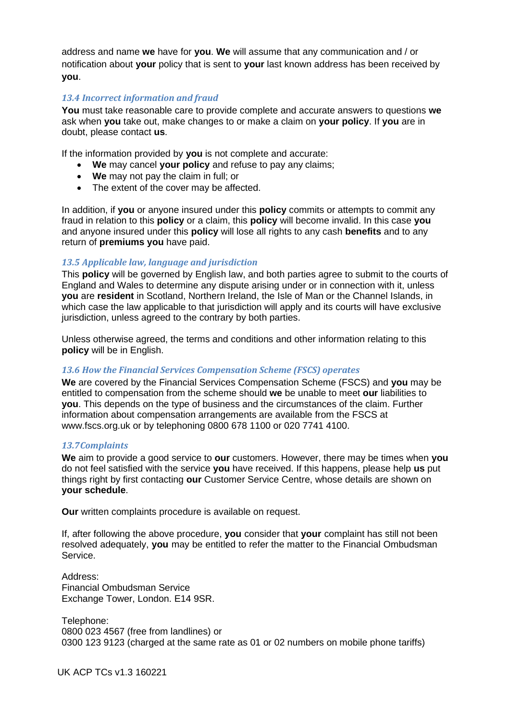address and name **we** have for **you**. **We** will assume that any communication and / or notification about **your** policy that is sent to **your** last known address has been received by **you**.

### *13.4 Incorrect information and fraud*

**You** must take reasonable care to provide complete and accurate answers to questions **we**  ask when **you** take out, make changes to or make a claim on **your policy**. If **you** are in doubt, please contact **us**.

If the information provided by **you** is not complete and accurate:

- **We** may cancel **your policy** and refuse to pay any claims;
- **We** may not pay the claim in full; or
- The extent of the cover may be affected.

In addition, if **you** or anyone insured under this **policy** commits or attempts to commit any fraud in relation to this **policy** or a claim, this **policy** will become invalid. In this case **you**  and anyone insured under this **policy** will lose all rights to any cash **benefits** and to any return of **premiums you** have paid.

### *13.5 Applicable law, language and jurisdiction*

This **policy** will be governed by English law, and both parties agree to submit to the courts of England and Wales to determine any dispute arising under or in connection with it, unless **you** are **resident** in Scotland, Northern Ireland, the Isle of Man or the Channel Islands, in which case the law applicable to that jurisdiction will apply and its courts will have exclusive jurisdiction, unless agreed to the contrary by both parties.

Unless otherwise agreed, the terms and conditions and other information relating to this **policy** will be in English.

#### *13.6 How the Financial Services Compensation Scheme (FSCS) operates*

**We** are covered by the Financial Services Compensation Scheme (FSCS) and **you** may be entitled to compensation from the scheme should **we** be unable to meet **our** liabilities to **you**. This depends on the type of business and the circumstances of the claim. Further information about compensation arrangements are available from the FSCS at [www.fscs.org.uk o](http://www.fscs.org.uk/)r by telephoning 0800 678 1100 or 020 7741 4100.

#### *13.7Complaints*

**We** aim to provide a good service to **our** customers. However, there may be times when **you**  do not feel satisfied with the service **you** have received. If this happens, please help **us** put things right by first contacting **our** Customer Service Centre, whose details are shown on **your schedule**.

**Our** written complaints procedure is available on request.

If, after following the above procedure, **you** consider that **your** complaint has still not been resolved adequately, **you** may be entitled to refer the matter to the Financial Ombudsman Service.

Address: Financial Ombudsman Service Exchange Tower, London. E14 9SR.

Telephone: 0800 023 4567 (free from landlines) or 0300 123 9123 (charged at the same rate as 01 or 02 numbers on mobile phone tariffs)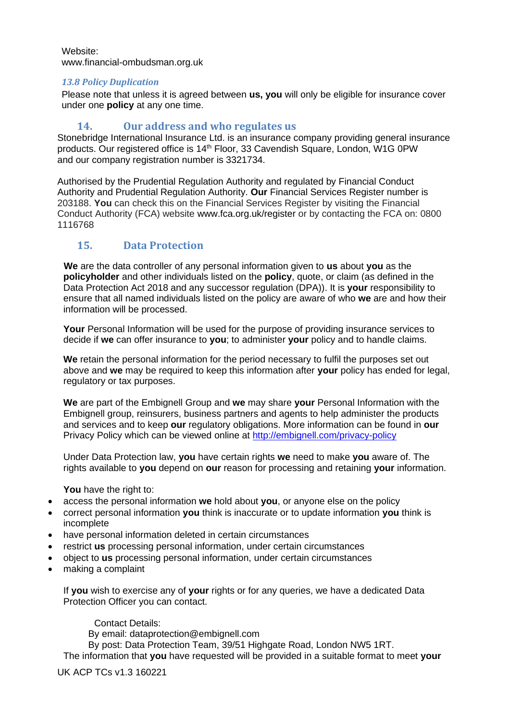Website: [www.financial-ombudsman.org.uk](http://www.financial-ombudsman.org.uk/)

### *13.8 Policy Duplication*

Please note that unless it is agreed between **us, you** will only be eligible for insurance cover under one **policy** at any one time.

# **14. Our address and who regulates us**

Stonebridge International Insurance Ltd. is an insurance company providing general insurance products. Our registered office is 14<sup>th</sup> Floor, 33 Cavendish Square, London, W1G 0PW and our company registration number is 3321734.

Authorised by the Prudential Regulation Authority and regulated by Financial Conduct Authority and Prudential Regulation Authority. **Our** Financial Services Register number is 203188. **You** can check this on the Financial Services Register by visiting the Financial Conduct Authority (FCA) website [www.fca.org.uk/register o](http://www.fca.org.uk/register)r by contacting the FCA on: 0800 1116768

# **15. Data Protection**

 **We** are the data controller of any personal information given to **us** about **you** as the **policyholder** and other individuals listed on the **policy**, quote, or claim (as defined in the Data Protection Act 2018 and any successor regulation (DPA)). It is **your** responsibility to ensure that all named individuals listed on the policy are aware of who **we** are and how their information will be processed.

**Your** Personal Information will be used for the purpose of providing insurance services to decide if **we** can offer insurance to **you**; to administer **your** policy and to handle claims.

**We** retain the personal information for the period necessary to fulfil the purposes set out above and **we** may be required to keep this information after **your** policy has ended for legal, regulatory or tax purposes.

**We** are part of the Embignell Group and **we** may share **your** Personal Information with the Embignell group, reinsurers, business partners and agents to help administer the products and services and to keep **our** regulatory obligations. More information can be found in **our** Privacy Policy which can be viewed online at<http://embignell.com/privacy-policy>

Under Data Protection law, **you** have certain rights **we** need to make **you** aware of. The rights available to **you** depend on **our** reason for processing and retaining **your** information.

**You** have the right to:

- access the personal information **we** hold about **you**, or anyone else on the policy
- correct personal information **you** think is inaccurate or to update information **you** think is incomplete
- have personal information deleted in certain circumstances
- restrict **us** processing personal information, under certain circumstances
- object to **us** processing personal information, under certain circumstances
- making a complaint

If **you** wish to exercise any of **your** rights or for any queries, we have a dedicated Data Protection Officer you can contact.

### Contact Details:

By email: dataprotection@embignell.com

By post: Data Protection Team, 39/51 Highgate Road, London NW5 1RT.

The information that **you** have requested will be provided in a suitable format to meet **your** 

UK ACP TCs v1.3 160221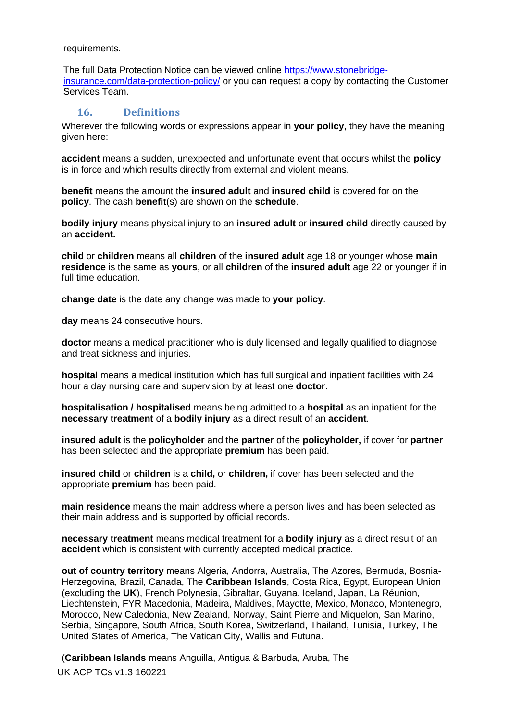requirements.

The full Data Protection Notice can be viewed online [https://www.stonebridge](https://www.stonebridge-insurance.com/data-protection-policy/)[insurance.com/data-protection-policy/](https://www.stonebridge-insurance.com/data-protection-policy/) or you can request a copy by contacting the Customer Services Team.

# **16. Definitions**

Wherever the following words or expressions appear in **your policy**, they have the meaning given here:

**accident** means a sudden, unexpected and unfortunate event that occurs whilst the **policy** is in force and which results directly from external and violent means.

**benefit** means the amount the **insured adult** and **insured child** is covered for on the **policy**. The cash **benefit**(s) are shown on the **schedule**.

**bodily injury** means physical injury to an **insured adult** or **insured child** directly caused by an **accident.**

**child** or **children** means all **children** of the **insured adult** age 18 or younger whose **main residence** is the same as **yours**, or all **children** of the **insured adult** age 22 or younger if in full time education.

**change date** is the date any change was made to **your policy**.

**day** means 24 consecutive hours.

**doctor** means a medical practitioner who is duly licensed and legally qualified to diagnose and treat sickness and injuries.

**hospital** means a medical institution which has full surgical and inpatient facilities with 24 hour a day nursing care and supervision by at least one **doctor**.

**hospitalisation / hospitalised** means being admitted to a **hospital** as an inpatient for the **necessary treatment** of a **bodily injury** as a direct result of an **accident**.

**insured adult** is the **policyholder** and the **partner** of the **policyholder,** if cover for **partner** has been selected and the appropriate **premium** has been paid.

**insured child** or **children** is a **child,** or **children,** if cover has been selected and the appropriate **premium** has been paid.

**main residence** means the main address where a person lives and has been selected as their main address and is supported by official records.

**necessary treatment** means medical treatment for a **bodily injury** as a direct result of an **accident** which is consistent with currently accepted medical practice.

**out of country territory** means Algeria, Andorra, Australia, The Azores, Bermuda, Bosnia-Herzegovina, Brazil, Canada, The **Caribbean Islands**, Costa Rica, Egypt, European Union (excluding the **UK**), French Polynesia, Gibraltar, Guyana, Iceland, Japan, La Réunion, Liechtenstein, FYR Macedonia, Madeira, Maldives, Mayotte, Mexico, Monaco, Montenegro, Morocco, New Caledonia, New Zealand, Norway, Saint Pierre and Miquelon, San Marino, Serbia, Singapore, South Africa, South Korea, Switzerland, Thailand, Tunisia, Turkey, The United States of America, The Vatican City, Wallis and Futuna.

UK ACP TCs v1.3 160221 (**Caribbean Islands** means Anguilla, Antigua & Barbuda, Aruba, The